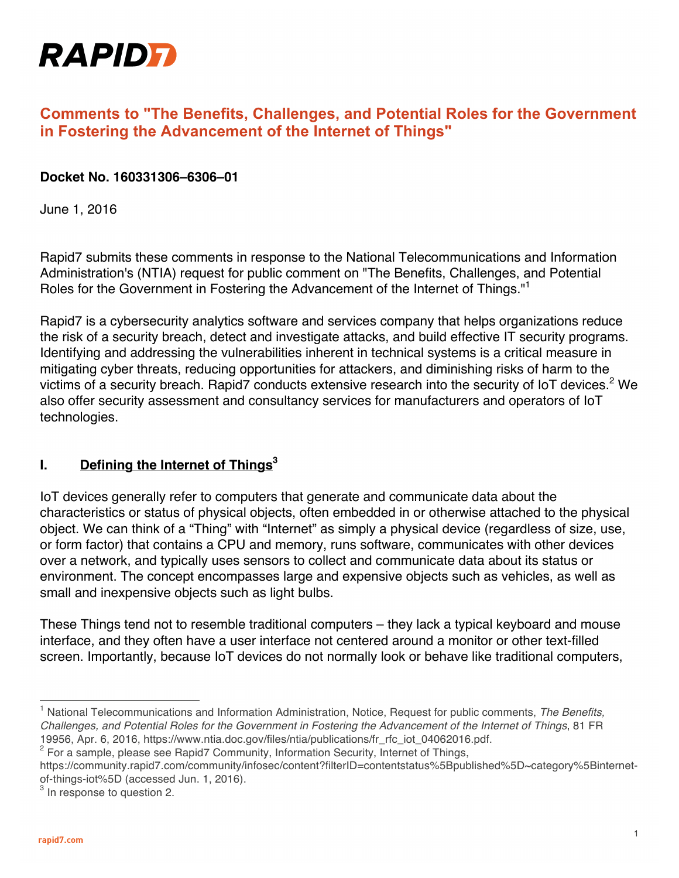

# **Comments to "The Benefits, Challenges, and Potential Roles for the Government in Fostering the Advancement of the Internet of Things"**

#### **Docket No. 160331306–6306–01**

June 1, 2016

Rapid7 submits these comments in response to the National Telecommunications and Information Administration's (NTIA) request for public comment on "The Benefits, Challenges, and Potential Roles for the Government in Fostering the Advancement of the Internet of Things."<sup>1</sup>

Rapid7 is a cybersecurity analytics software and services company that helps organizations reduce the risk of a security breach, detect and investigate attacks, and build effective IT security programs. Identifying and addressing the vulnerabilities inherent in technical systems is a critical measure in mitigating cyber threats, reducing opportunities for attackers, and diminishing risks of harm to the victims of a security breach. Rapid7 conducts extensive research into the security of IoT devices.<sup>2</sup> We also offer security assessment and consultancy services for manufacturers and operators of IoT technologies.

#### **I. Defining the Internet of Things<sup>3</sup>**

IoT devices generally refer to computers that generate and communicate data about the characteristics or status of physical objects, often embedded in or otherwise attached to the physical object. We can think of a "Thing" with "Internet" as simply a physical device (regardless of size, use, or form factor) that contains a CPU and memory, runs software, communicates with other devices over a network, and typically uses sensors to collect and communicate data about its status or environment. The concept encompasses large and expensive objects such as vehicles, as well as small and inexpensive objects such as light bulbs.

These Things tend not to resemble traditional computers – they lack a typical keyboard and mouse interface, and they often have a user interface not centered around a monitor or other text-filled screen. Importantly, because IoT devices do not normally look or behave like traditional computers,

<sup>1</sup> National Telecommunications and Information Administration, Notice, Request for public comments, *The Benefits, Challenges, and Potential Roles for the Government in Fostering the Advancement of the Internet of Things*, 81 FR 19956, Apr. 6, 2016, https://www.ntia.doc.gov/files/ntia/publications/fr\_rfc\_iot\_04062016.pdf.

 $2$  For a sample, please see Rapid7 Community, Information Security, Internet of Things,

https://community.rapid7.com/community/infosec/content?filterID=contentstatus%5Bpublished%5D~category%5Binternetof-things-iot%5D (accessed Jun. 1, 2016).

 $3$  In response to question 2.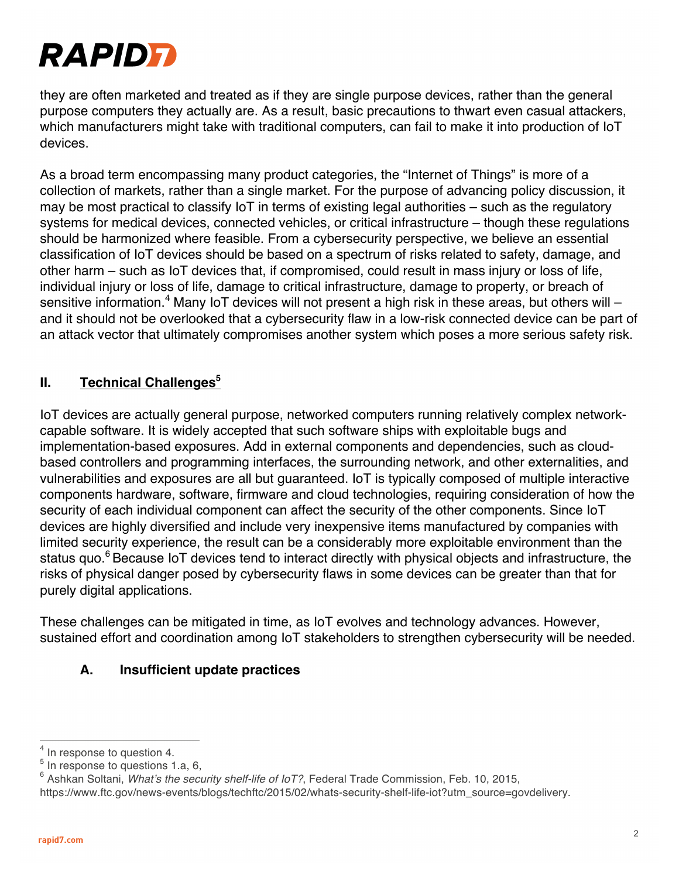

they are often marketed and treated as if they are single purpose devices, rather than the general purpose computers they actually are. As a result, basic precautions to thwart even casual attackers, which manufacturers might take with traditional computers, can fail to make it into production of IoT devices.

As a broad term encompassing many product categories, the "Internet of Things" is more of a collection of markets, rather than a single market. For the purpose of advancing policy discussion, it may be most practical to classify IoT in terms of existing legal authorities – such as the regulatory systems for medical devices, connected vehicles, or critical infrastructure – though these regulations should be harmonized where feasible. From a cybersecurity perspective, we believe an essential classification of IoT devices should be based on a spectrum of risks related to safety, damage, and other harm – such as IoT devices that, if compromised, could result in mass injury or loss of life, individual injury or loss of life, damage to critical infrastructure, damage to property, or breach of sensitive information.<sup>4</sup> Many IoT devices will not present a high risk in these areas, but others will  $$ and it should not be overlooked that a cybersecurity flaw in a low-risk connected device can be part of an attack vector that ultimately compromises another system which poses a more serious safety risk.

## **II. Technical Challenges**<sup>5</sup>

IoT devices are actually general purpose, networked computers running relatively complex networkcapable software. It is widely accepted that such software ships with exploitable bugs and implementation-based exposures. Add in external components and dependencies, such as cloudbased controllers and programming interfaces, the surrounding network, and other externalities, and vulnerabilities and exposures are all but guaranteed. IoT is typically composed of multiple interactive components hardware, software, firmware and cloud technologies, requiring consideration of how the security of each individual component can affect the security of the other components. Since IoT devices are highly diversified and include very inexpensive items manufactured by companies with limited security experience, the result can be a considerably more exploitable environment than the status quo.<sup>6</sup> Because IoT devices tend to interact directly with physical objects and infrastructure, the risks of physical danger posed by cybersecurity flaws in some devices can be greater than that for purely digital applications.

These challenges can be mitigated in time, as IoT evolves and technology advances. However, sustained effort and coordination among IoT stakeholders to strengthen cybersecurity will be needed.

#### **A. Insufficient update practices**

<sup>&</sup>lt;sup>4</sup> In response to question 4.

 $<sup>5</sup>$  In response to questions 1.a, 6,</sup>

<sup>6</sup> Ashkan Soltani, *What's the security shelf-life of IoT?*, Federal Trade Commission, Feb. 10, 2015, https://www.ftc.gov/news-events/blogs/techftc/2015/02/whats-security-shelf-life-iot?utm\_source=govdelivery.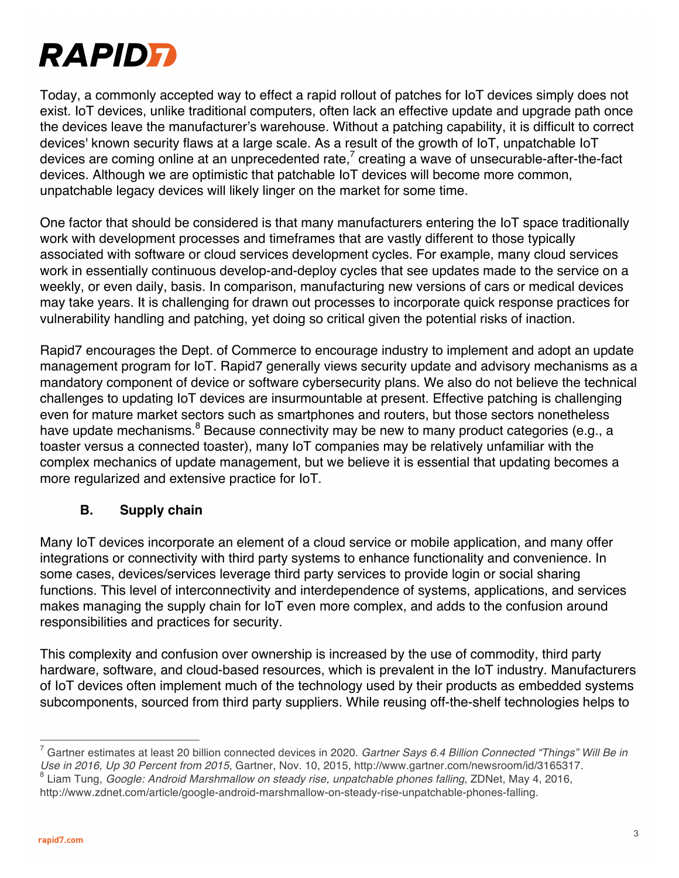

Today, a commonly accepted way to effect a rapid rollout of patches for IoT devices simply does not exist. IoT devices, unlike traditional computers, often lack an effective update and upgrade path once the devices leave the manufacturer's warehouse. Without a patching capability, it is difficult to correct devices' known security flaws at a large scale. As a result of the growth of IoT, unpatchable IoT devices are coming online at an unprecedented rate, $<sup>7</sup>$  creating a wave of unsecurable-after-the-fact</sup> devices. Although we are optimistic that patchable IoT devices will become more common, unpatchable legacy devices will likely linger on the market for some time.

One factor that should be considered is that many manufacturers entering the IoT space traditionally work with development processes and timeframes that are vastly different to those typically associated with software or cloud services development cycles. For example, many cloud services work in essentially continuous develop-and-deploy cycles that see updates made to the service on a weekly, or even daily, basis. In comparison, manufacturing new versions of cars or medical devices may take years. It is challenging for drawn out processes to incorporate quick response practices for vulnerability handling and patching, yet doing so critical given the potential risks of inaction.

Rapid7 encourages the Dept. of Commerce to encourage industry to implement and adopt an update management program for IoT. Rapid7 generally views security update and advisory mechanisms as a mandatory component of device or software cybersecurity plans. We also do not believe the technical challenges to updating IoT devices are insurmountable at present. Effective patching is challenging even for mature market sectors such as smartphones and routers, but those sectors nonetheless have update mechanisms.<sup>8</sup> Because connectivity may be new to many product categories (e.g., a toaster versus a connected toaster), many IoT companies may be relatively unfamiliar with the complex mechanics of update management, but we believe it is essential that updating becomes a more regularized and extensive practice for IoT.

#### **B. Supply chain**

Many IoT devices incorporate an element of a cloud service or mobile application, and many offer integrations or connectivity with third party systems to enhance functionality and convenience. In some cases, devices/services leverage third party services to provide login or social sharing functions. This level of interconnectivity and interdependence of systems, applications, and services makes managing the supply chain for IoT even more complex, and adds to the confusion around responsibilities and practices for security.

This complexity and confusion over ownership is increased by the use of commodity, third party hardware, software, and cloud-based resources, which is prevalent in the IoT industry. Manufacturers of IoT devices often implement much of the technology used by their products as embedded systems subcomponents, sourced from third party suppliers. While reusing off-the-shelf technologies helps to

<sup>7</sup> Gartner estimates at least 20 billion connected devices in 2020. *Gartner Says 6.4 Billion Connected "Things" Will Be in Use in 2016, Up 30 Percent from 2015*, Gartner, Nov. 10, 2015, http://www.gartner.com/newsroom/id/3165317.

<sup>8</sup> Liam Tung, *Google: Android Marshmallow on steady rise, unpatchable phones falling*, ZDNet, May 4, 2016,

http://www.zdnet.com/article/google-android-marshmallow-on-steady-rise-unpatchable-phones-falling.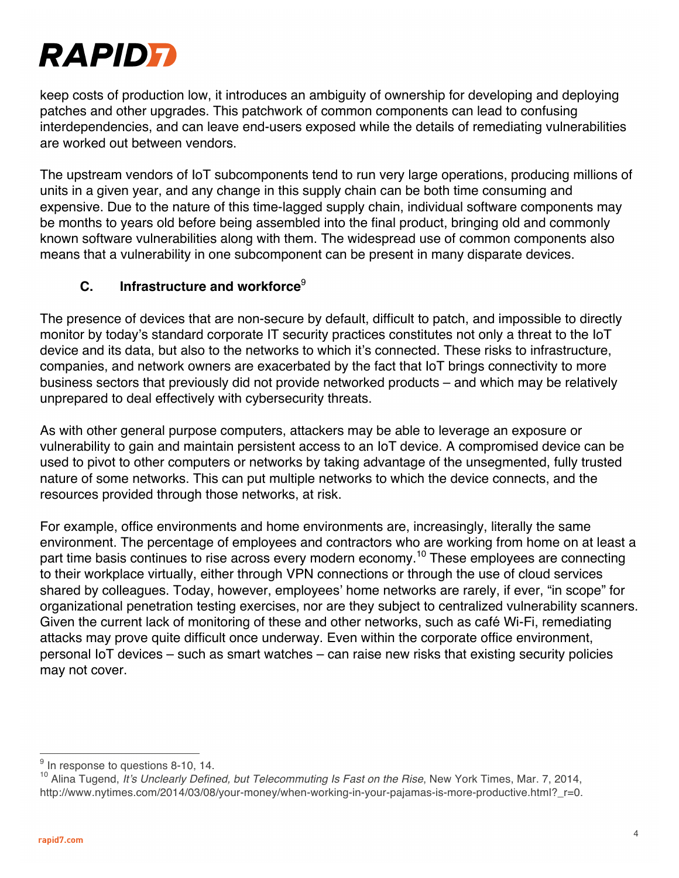

keep costs of production low, it introduces an ambiguity of ownership for developing and deploying patches and other upgrades. This patchwork of common components can lead to confusing interdependencies, and can leave end-users exposed while the details of remediating vulnerabilities are worked out between vendors.

The upstream vendors of IoT subcomponents tend to run very large operations, producing millions of units in a given year, and any change in this supply chain can be both time consuming and expensive. Due to the nature of this time-lagged supply chain, individual software components may be months to years old before being assembled into the final product, bringing old and commonly known software vulnerabilities along with them. The widespread use of common components also means that a vulnerability in one subcomponent can be present in many disparate devices.

#### **C. Infrastructure and workforce**<sup>9</sup>

The presence of devices that are non-secure by default, difficult to patch, and impossible to directly monitor by today's standard corporate IT security practices constitutes not only a threat to the IoT device and its data, but also to the networks to which it's connected. These risks to infrastructure, companies, and network owners are exacerbated by the fact that IoT brings connectivity to more business sectors that previously did not provide networked products – and which may be relatively unprepared to deal effectively with cybersecurity threats.

As with other general purpose computers, attackers may be able to leverage an exposure or vulnerability to gain and maintain persistent access to an IoT device. A compromised device can be used to pivot to other computers or networks by taking advantage of the unsegmented, fully trusted nature of some networks. This can put multiple networks to which the device connects, and the resources provided through those networks, at risk.

For example, office environments and home environments are, increasingly, literally the same environment. The percentage of employees and contractors who are working from home on at least a part time basis continues to rise across every modern economy.<sup>10</sup> These employees are connecting to their workplace virtually, either through VPN connections or through the use of cloud services shared by colleagues. Today, however, employees' home networks are rarely, if ever, "in scope" for organizational penetration testing exercises, nor are they subject to centralized vulnerability scanners. Given the current lack of monitoring of these and other networks, such as café Wi-Fi, remediating attacks may prove quite difficult once underway. Even within the corporate office environment, personal IoT devices – such as smart watches – can raise new risks that existing security policies may not cover.

 $9$  In response to questions 8-10, 14.

<sup>&</sup>lt;sup>10</sup> Alina Tugend, *It's Unclearly Defined, but Telecommuting Is Fast on the Rise*, New York Times, Mar. 7, 2014, http://www.nytimes.com/2014/03/08/your-money/when-working-in-your-pajamas-is-more-productive.html?\_r=0.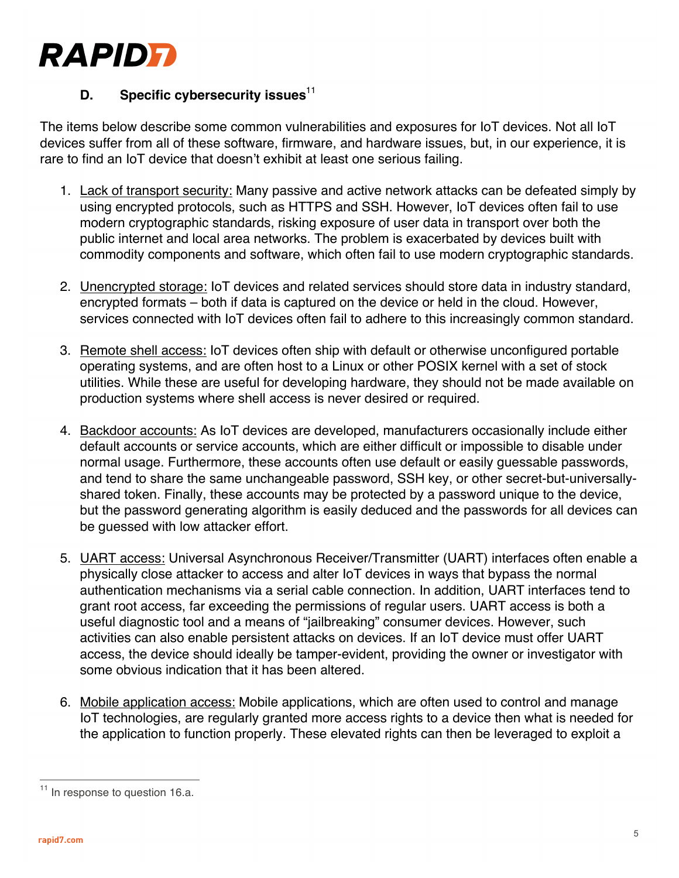

## **D.** Specific cybersecurity issues<sup>11</sup>

The items below describe some common vulnerabilities and exposures for IoT devices. Not all IoT devices suffer from all of these software, firmware, and hardware issues, but, in our experience, it is rare to find an IoT device that doesn't exhibit at least one serious failing.

- 1. Lack of transport security: Many passive and active network attacks can be defeated simply by using encrypted protocols, such as HTTPS and SSH. However, IoT devices often fail to use modern cryptographic standards, risking exposure of user data in transport over both the public internet and local area networks. The problem is exacerbated by devices built with commodity components and software, which often fail to use modern cryptographic standards.
- 2. Unencrypted storage: IoT devices and related services should store data in industry standard, encrypted formats – both if data is captured on the device or held in the cloud. However, services connected with IoT devices often fail to adhere to this increasingly common standard.
- 3. Remote shell access: IoT devices often ship with default or otherwise unconfigured portable operating systems, and are often host to a Linux or other POSIX kernel with a set of stock utilities. While these are useful for developing hardware, they should not be made available on production systems where shell access is never desired or required.
- 4. Backdoor accounts: As IoT devices are developed, manufacturers occasionally include either default accounts or service accounts, which are either difficult or impossible to disable under normal usage. Furthermore, these accounts often use default or easily guessable passwords, and tend to share the same unchangeable password, SSH key, or other secret-but-universallyshared token. Finally, these accounts may be protected by a password unique to the device, but the password generating algorithm is easily deduced and the passwords for all devices can be guessed with low attacker effort.
- 5. UART access: Universal Asynchronous Receiver/Transmitter (UART) interfaces often enable a physically close attacker to access and alter IoT devices in ways that bypass the normal authentication mechanisms via a serial cable connection. In addition, UART interfaces tend to grant root access, far exceeding the permissions of regular users. UART access is both a useful diagnostic tool and a means of "jailbreaking" consumer devices. However, such activities can also enable persistent attacks on devices. If an IoT device must offer UART access, the device should ideally be tamper-evident, providing the owner or investigator with some obvious indication that it has been altered.
- 6. Mobile application access: Mobile applications, which are often used to control and manage IoT technologies, are regularly granted more access rights to a device then what is needed for the application to function properly. These elevated rights can then be leveraged to exploit a

<sup>&</sup>lt;sup>11</sup> In response to question 16.a.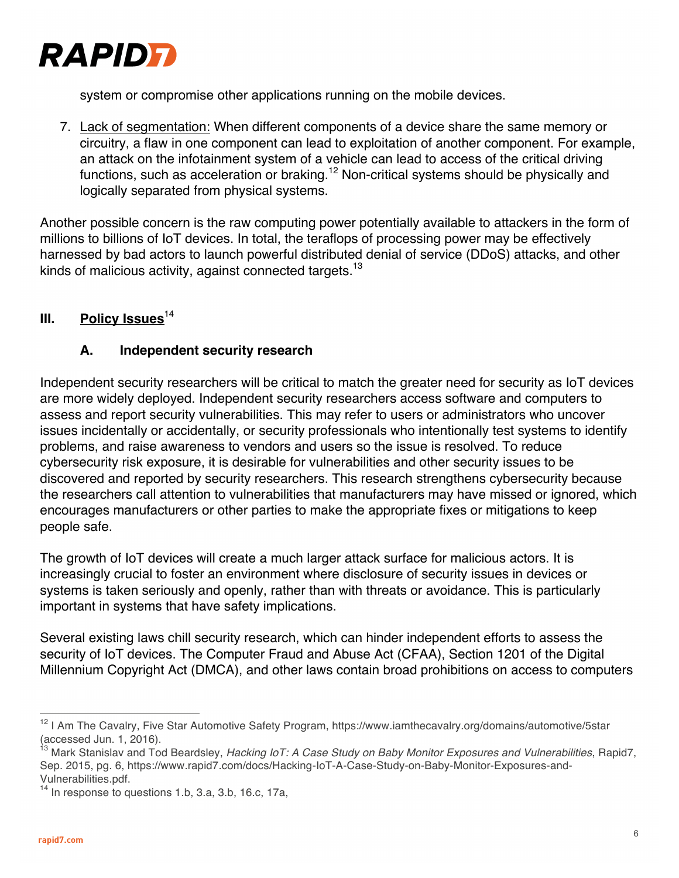

system or compromise other applications running on the mobile devices.

7. Lack of segmentation: When different components of a device share the same memory or circuitry, a flaw in one component can lead to exploitation of another component. For example, an attack on the infotainment system of a vehicle can lead to access of the critical driving functions, such as acceleration or braking.<sup>12</sup> Non-critical systems should be physically and logically separated from physical systems.

Another possible concern is the raw computing power potentially available to attackers in the form of millions to billions of IoT devices. In total, the teraflops of processing power may be effectively harnessed by bad actors to launch powerful distributed denial of service (DDoS) attacks, and other kinds of malicious activity, against connected targets.<sup>13</sup>

## **III.** Policy Issues<sup>14</sup>

#### **A. Independent security research**

Independent security researchers will be critical to match the greater need for security as IoT devices are more widely deployed. Independent security researchers access software and computers to assess and report security vulnerabilities. This may refer to users or administrators who uncover issues incidentally or accidentally, or security professionals who intentionally test systems to identify problems, and raise awareness to vendors and users so the issue is resolved. To reduce cybersecurity risk exposure, it is desirable for vulnerabilities and other security issues to be discovered and reported by security researchers. This research strengthens cybersecurity because the researchers call attention to vulnerabilities that manufacturers may have missed or ignored, which encourages manufacturers or other parties to make the appropriate fixes or mitigations to keep people safe.

The growth of IoT devices will create a much larger attack surface for malicious actors. It is increasingly crucial to foster an environment where disclosure of security issues in devices or systems is taken seriously and openly, rather than with threats or avoidance. This is particularly important in systems that have safety implications.

Several existing laws chill security research, which can hinder independent efforts to assess the security of IoT devices. The Computer Fraud and Abuse Act (CFAA), Section 1201 of the Digital Millennium Copyright Act (DMCA), and other laws contain broad prohibitions on access to computers

<sup>&</sup>lt;sup>12</sup> I Am The Cavalry, Five Star Automotive Safety Program, https://www.iamthecavalry.org/domains/automotive/5star (accessed Jun. 1, 2016).

<sup>13</sup> Mark Stanislav and Tod Beardsley, *Hacking IoT: A Case Study on Baby Monitor Exposures and Vulnerabilities*, Rapid7, Sep. 2015, pg. 6, https://www.rapid7.com/docs/Hacking-IoT-A-Case-Study-on-Baby-Monitor-Exposures-and-Vulnerabilities.pdf.

 $14$  In response to questions 1.b, 3.a, 3.b, 16.c, 17a,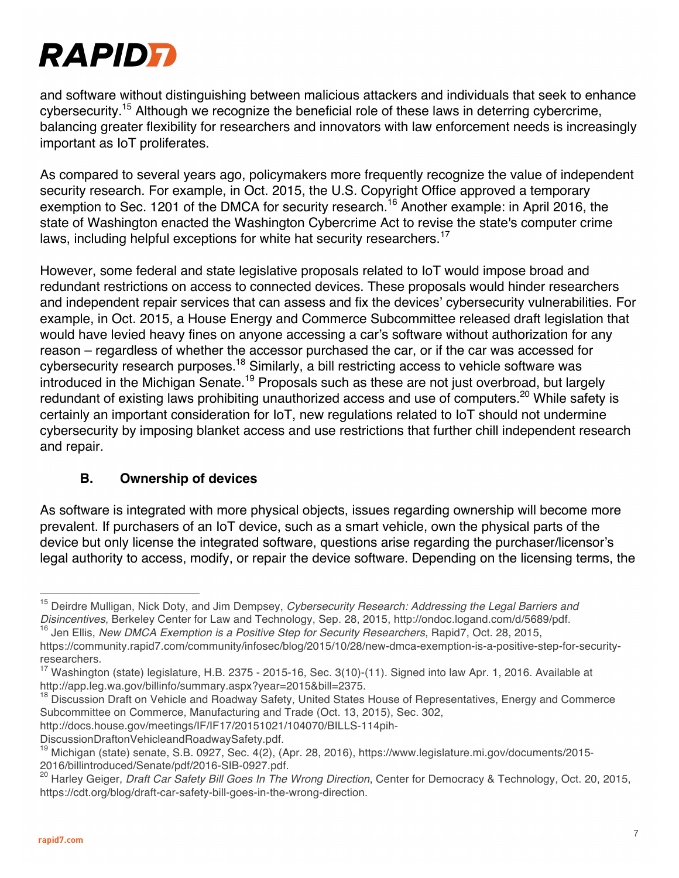

and software without distinguishing between malicious attackers and individuals that seek to enhance cybersecurity.<sup>15</sup> Although we recognize the beneficial role of these laws in deterring cybercrime, balancing greater flexibility for researchers and innovators with law enforcement needs is increasingly important as IoT proliferates.

As compared to several years ago, policymakers more frequently recognize the value of independent security research. For example, in Oct. 2015, the U.S. Copyright Office approved a temporary exemption to Sec. 1201 of the DMCA for security research.<sup>16</sup> Another example: in April 2016, the state of Washington enacted the Washington Cybercrime Act to revise the state's computer crime laws, including helpful exceptions for white hat security researchers.<sup>17</sup>

However, some federal and state legislative proposals related to IoT would impose broad and redundant restrictions on access to connected devices. These proposals would hinder researchers and independent repair services that can assess and fix the devices' cybersecurity vulnerabilities. For example, in Oct. 2015, a House Energy and Commerce Subcommittee released draft legislation that would have levied heavy fines on anyone accessing a car's software without authorization for any reason – regardless of whether the accessor purchased the car, or if the car was accessed for cybersecurity research purposes.18 Similarly, a bill restricting access to vehicle software was introduced in the Michigan Senate.<sup>19</sup> Proposals such as these are not just overbroad, but largely redundant of existing laws prohibiting unauthorized access and use of computers.<sup>20</sup> While safety is certainly an important consideration for IoT, new regulations related to IoT should not undermine cybersecurity by imposing blanket access and use restrictions that further chill independent research and repair.

#### **B. Ownership of devices**

As software is integrated with more physical objects, issues regarding ownership will become more prevalent. If purchasers of an IoT device, such as a smart vehicle, own the physical parts of the device but only license the integrated software, questions arise regarding the purchaser/licensor's legal authority to access, modify, or repair the device software. Depending on the licensing terms, the

http://docs.house.gov/meetings/IF/IF17/20151021/104070/BILLS-114pih-

<sup>15</sup> Deirdre Mulligan, Nick Doty, and Jim Dempsey, *Cybersecurity Research: Addressing the Legal Barriers and Disincentives*, Berkeley Center for Law and Technology, Sep. 28, 2015, http://ondoc.logand.com/d/5689/pdf.

<sup>16</sup> Jen Ellis, *New DMCA Exemption is a Positive Step for Security Researchers*, Rapid7, Oct. 28, 2015,

https://community.rapid7.com/community/infosec/blog/2015/10/28/new-dmca-exemption-is-a-positive-step-for-securityresearchers.

<sup>&</sup>lt;sup>17</sup> Washington (state) legislature, H.B. 2375 - 2015-16, Sec. 3(10)-(11). Signed into law Apr. 1, 2016. Available at http://app.leg.wa.gov/billinfo/summary.aspx?year=2015&bill=2375.

<sup>&</sup>lt;sup>18</sup> Discussion Draft on Vehicle and Roadway Safety, United States House of Representatives, Energy and Commerce Subcommittee on Commerce, Manufacturing and Trade (Oct. 13, 2015), Sec. 302,

DiscussionDraftonVehicleandRoadwaySafety.pdf.

<sup>&</sup>lt;sup>19</sup> Michigan (state) senate, S.B. 0927, Sec. 4(2), (Apr. 28, 2016), https://www.legislature.mi.gov/documents/2015-2016/billintroduced/Senate/pdf/2016-SIB-0927.pdf.

<sup>20</sup> Harley Geiger, *Draft Car Safety Bill Goes In The Wrong Direction*, Center for Democracy & Technology, Oct. 20, 2015, https://cdt.org/blog/draft-car-safety-bill-goes-in-the-wrong-direction.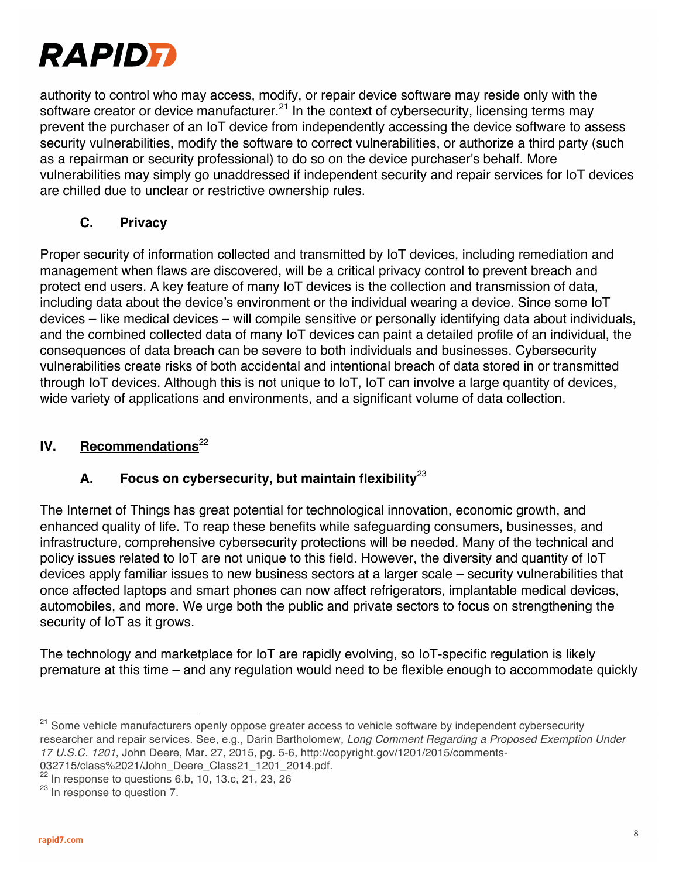

authority to control who may access, modify, or repair device software may reside only with the software creator or device manufacturer.<sup>21</sup> In the context of cybersecurity, licensing terms may prevent the purchaser of an IoT device from independently accessing the device software to assess security vulnerabilities, modify the software to correct vulnerabilities, or authorize a third party (such as a repairman or security professional) to do so on the device purchaser's behalf. More vulnerabilities may simply go unaddressed if independent security and repair services for IoT devices are chilled due to unclear or restrictive ownership rules.

#### **C. Privacy**

Proper security of information collected and transmitted by IoT devices, including remediation and management when flaws are discovered, will be a critical privacy control to prevent breach and protect end users. A key feature of many IoT devices is the collection and transmission of data, including data about the device's environment or the individual wearing a device. Since some IoT devices – like medical devices – will compile sensitive or personally identifying data about individuals, and the combined collected data of many IoT devices can paint a detailed profile of an individual, the consequences of data breach can be severe to both individuals and businesses. Cybersecurity vulnerabilities create risks of both accidental and intentional breach of data stored in or transmitted through IoT devices. Although this is not unique to IoT, IoT can involve a large quantity of devices, wide variety of applications and environments, and a significant volume of data collection.

## **IV.** Recommendations<sup>22</sup>

## **A. Focus on cybersecurity, but maintain flexibility**<sup>23</sup>

The Internet of Things has great potential for technological innovation, economic growth, and enhanced quality of life. To reap these benefits while safeguarding consumers, businesses, and infrastructure, comprehensive cybersecurity protections will be needed. Many of the technical and policy issues related to IoT are not unique to this field. However, the diversity and quantity of IoT devices apply familiar issues to new business sectors at a larger scale – security vulnerabilities that once affected laptops and smart phones can now affect refrigerators, implantable medical devices, automobiles, and more. We urge both the public and private sectors to focus on strengthening the security of IoT as it grows.

The technology and marketplace for IoT are rapidly evolving, so IoT-specific regulation is likely premature at this time – and any regulation would need to be flexible enough to accommodate quickly

<sup>&</sup>lt;sup>21</sup> Some vehicle manufacturers openly oppose greater access to vehicle software by independent cybersecurity researcher and repair services. See, e.g., Darin Bartholomew, *Long Comment Regarding a Proposed Exemption Under 17 U.S.C. 1201*, John Deere, Mar. 27, 2015, pg. 5-6, http://copyright.gov/1201/2015/comments-032715/class%2021/John\_Deere\_Class21\_1201\_2014.pdf.

 $22$  In response to questions 6.b, 10, 13.c, 21, 23, 26

<sup>&</sup>lt;sup>23</sup> In response to question 7.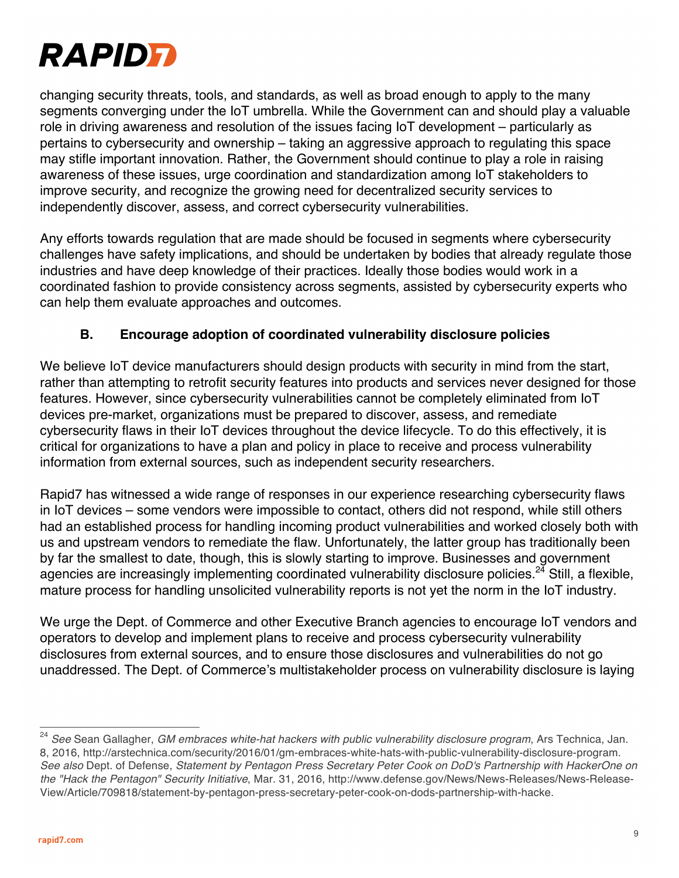

changing security threats, tools, and standards, as well as broad enough to apply to the many segments converging under the IoT umbrella. While the Government can and should play a valuable role in driving awareness and resolution of the issues facing IoT development – particularly as pertains to cybersecurity and ownership – taking an aggressive approach to regulating this space may stifle important innovation. Rather, the Government should continue to play a role in raising awareness of these issues, urge coordination and standardization among IoT stakeholders to improve security, and recognize the growing need for decentralized security services to independently discover, assess, and correct cybersecurity vulnerabilities.

Any efforts towards regulation that are made should be focused in segments where cybersecurity challenges have safety implications, and should be undertaken by bodies that already regulate those industries and have deep knowledge of their practices. Ideally those bodies would work in a coordinated fashion to provide consistency across segments, assisted by cybersecurity experts who can help them evaluate approaches and outcomes.

#### **B. Encourage adoption of coordinated vulnerability disclosure policies**

We believe IoT device manufacturers should design products with security in mind from the start, rather than attempting to retrofit security features into products and services never designed for those features. However, since cybersecurity vulnerabilities cannot be completely eliminated from IoT devices pre-market, organizations must be prepared to discover, assess, and remediate cybersecurity flaws in their IoT devices throughout the device lifecycle. To do this effectively, it is critical for organizations to have a plan and policy in place to receive and process vulnerability information from external sources, such as independent security researchers.

Rapid7 has witnessed a wide range of responses in our experience researching cybersecurity flaws in IoT devices – some vendors were impossible to contact, others did not respond, while still others had an established process for handling incoming product vulnerabilities and worked closely both with us and upstream vendors to remediate the flaw. Unfortunately, the latter group has traditionally been by far the smallest to date, though, this is slowly starting to improve. Businesses and government agencies are increasingly implementing coordinated vulnerability disclosure policies.<sup>24</sup> Still, a flexible, mature process for handling unsolicited vulnerability reports is not yet the norm in the IoT industry.

We urge the Dept. of Commerce and other Executive Branch agencies to encourage IoT vendors and operators to develop and implement plans to receive and process cybersecurity vulnerability disclosures from external sources, and to ensure those disclosures and vulnerabilities do not go unaddressed. The Dept. of Commerce's multistakeholder process on vulnerability disclosure is laying

<sup>24</sup> *See* Sean Gallagher, *GM embraces white-hat hackers with public vulnerability disclosure program*, Ars Technica, Jan. 8, 2016, http://arstechnica.com/security/2016/01/gm-embraces-white-hats-with-public-vulnerability-disclosure-program. *See also* Dept. of Defense, *Statement by Pentagon Press Secretary Peter Cook on DoD's Partnership with HackerOne on the "Hack the Pentagon" Security Initiative*, Mar. 31, 2016, http://www.defense.gov/News/News-Releases/News-Release-View/Article/709818/statement-by-pentagon-press-secretary-peter-cook-on-dods-partnership-with-hacke.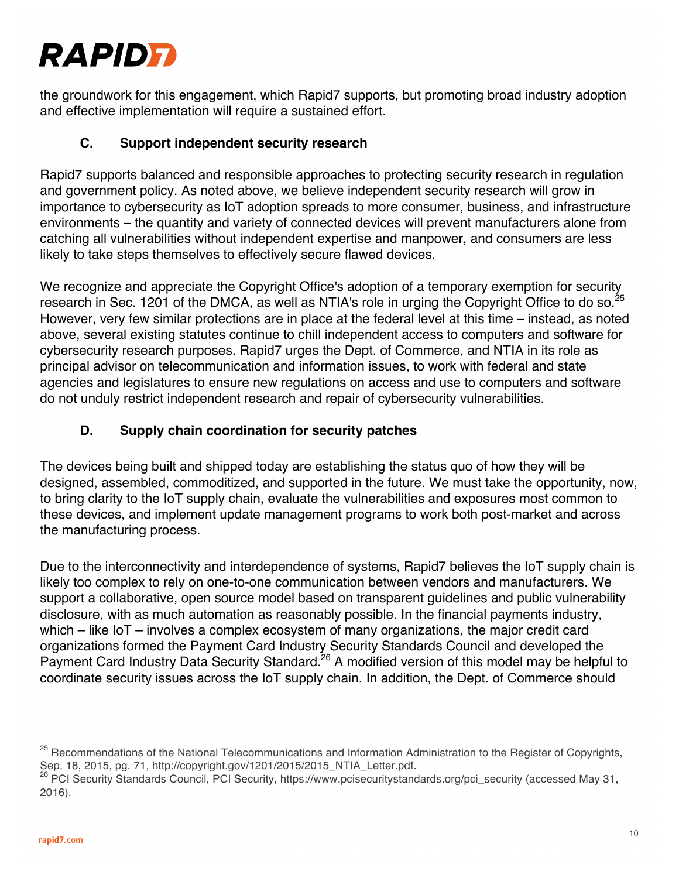# **RAPIDFI**

the groundwork for this engagement, which Rapid7 supports, but promoting broad industry adoption and effective implementation will require a sustained effort.

## **C. Support independent security research**

Rapid7 supports balanced and responsible approaches to protecting security research in regulation and government policy. As noted above, we believe independent security research will grow in importance to cybersecurity as IoT adoption spreads to more consumer, business, and infrastructure environments – the quantity and variety of connected devices will prevent manufacturers alone from catching all vulnerabilities without independent expertise and manpower, and consumers are less likely to take steps themselves to effectively secure flawed devices.

We recognize and appreciate the Copyright Office's adoption of a temporary exemption for security research in Sec. 1201 of the DMCA, as well as NTIA's role in urging the Copyright Office to do so.<sup>25</sup> However, very few similar protections are in place at the federal level at this time – instead, as noted above, several existing statutes continue to chill independent access to computers and software for cybersecurity research purposes. Rapid7 urges the Dept. of Commerce, and NTIA in its role as principal advisor on telecommunication and information issues, to work with federal and state agencies and legislatures to ensure new regulations on access and use to computers and software do not unduly restrict independent research and repair of cybersecurity vulnerabilities.

## **D. Supply chain coordination for security patches**

The devices being built and shipped today are establishing the status quo of how they will be designed, assembled, commoditized, and supported in the future. We must take the opportunity, now, to bring clarity to the IoT supply chain, evaluate the vulnerabilities and exposures most common to these devices, and implement update management programs to work both post-market and across the manufacturing process.

Due to the interconnectivity and interdependence of systems, Rapid7 believes the IoT supply chain is likely too complex to rely on one-to-one communication between vendors and manufacturers. We support a collaborative, open source model based on transparent guidelines and public vulnerability disclosure, with as much automation as reasonably possible. In the financial payments industry, which – like IoT – involves a complex ecosystem of many organizations, the major credit card organizations formed the Payment Card Industry Security Standards Council and developed the Payment Card Industry Data Security Standard.<sup>26</sup> A modified version of this model may be helpful to coordinate security issues across the IoT supply chain. In addition, the Dept. of Commerce should

<sup>&</sup>lt;sup>25</sup> Recommendations of the National Telecommunications and Information Administration to the Register of Copyrights, Sep. 18, 2015, pg. 71, http://copyright.gov/1201/2015/2015\_NTIA\_Letter.pdf.

<sup>26</sup> PCI Security Standards Council, PCI Security, https://www.pcisecuritystandards.org/pci\_security (accessed May 31, 2016).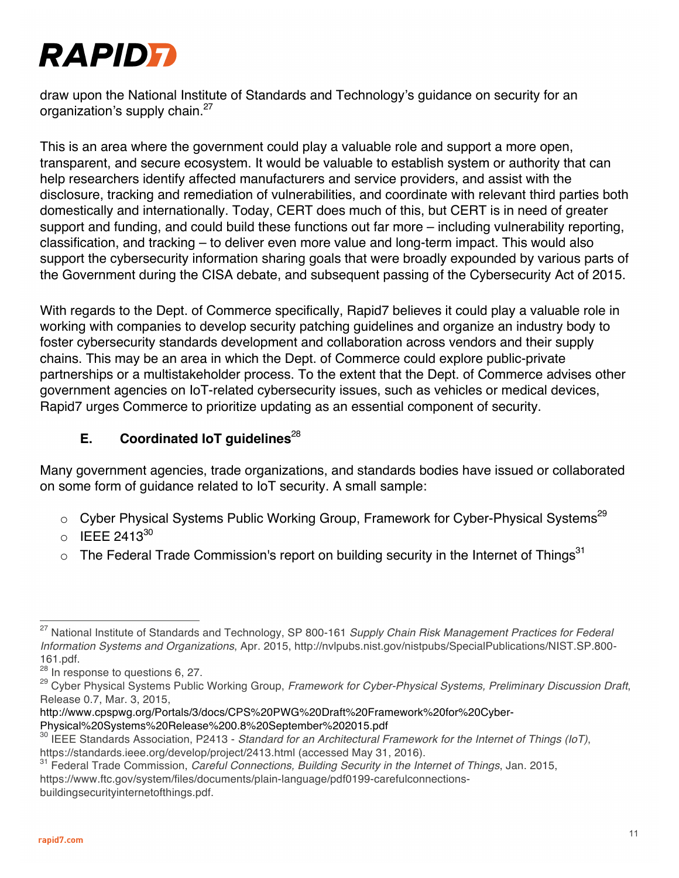

draw upon the National Institute of Standards and Technology's guidance on security for an organization's supply chain.<sup>27</sup>

This is an area where the government could play a valuable role and support a more open, transparent, and secure ecosystem. It would be valuable to establish system or authority that can help researchers identify affected manufacturers and service providers, and assist with the disclosure, tracking and remediation of vulnerabilities, and coordinate with relevant third parties both domestically and internationally. Today, CERT does much of this, but CERT is in need of greater support and funding, and could build these functions out far more – including vulnerability reporting, classification, and tracking – to deliver even more value and long-term impact. This would also support the cybersecurity information sharing goals that were broadly expounded by various parts of the Government during the CISA debate, and subsequent passing of the Cybersecurity Act of 2015.

With regards to the Dept. of Commerce specifically, Rapid7 believes it could play a valuable role in working with companies to develop security patching guidelines and organize an industry body to foster cybersecurity standards development and collaboration across vendors and their supply chains. This may be an area in which the Dept. of Commerce could explore public-private partnerships or a multistakeholder process. To the extent that the Dept. of Commerce advises other government agencies on IoT-related cybersecurity issues, such as vehicles or medical devices, Rapid7 urges Commerce to prioritize updating as an essential component of security.

## **E.** Coordinated IoT guidelines<sup>28</sup>

Many government agencies, trade organizations, and standards bodies have issued or collaborated on some form of guidance related to IoT security. A small sample:

- $\circ$  Cyber Physical Systems Public Working Group, Framework for Cyber-Physical Systems<sup>29</sup>
- $\circ$  IEEE 2413 $^{30}$
- $\circ$  The Federal Trade Commission's report on building security in the Internet of Things<sup>31</sup>

http://www.cpspwg.org/Portals/3/docs/CPS%20PWG%20Draft%20Framework%20for%20Cyber-Physical%20Systems%20Release%200.8%20September%202015.pdf

<sup>27</sup> National Institute of Standards and Technology, SP 800-161 *Supply Chain Risk Management Practices for Federal Information Systems and Organizations*, Apr. 2015, http://nvlpubs.nist.gov/nistpubs/SpecialPublications/NIST.SP.800- 161.pdf.

<sup>&</sup>lt;sup>28</sup> In response to questions 6, 27.

<sup>29</sup> Cyber Physical Systems Public Working Group, *Framework for Cyber-Physical Systems, Preliminary Discussion Draft*, Release 0.7, Mar. 3, 2015,

<sup>30</sup> IEEE Standards Association, P2413 - *Standard for an Architectural Framework for the Internet of Things (IoT)*, https://standards.ieee.org/develop/project/2413.html (accessed May 31, 2016).

<sup>31</sup> Federal Trade Commission, *Careful Connections, Building Security in the Internet of Things*, Jan. 2015, https://www.ftc.gov/system/files/documents/plain-language/pdf0199-carefulconnectionsbuildingsecurityinternetofthings.pdf.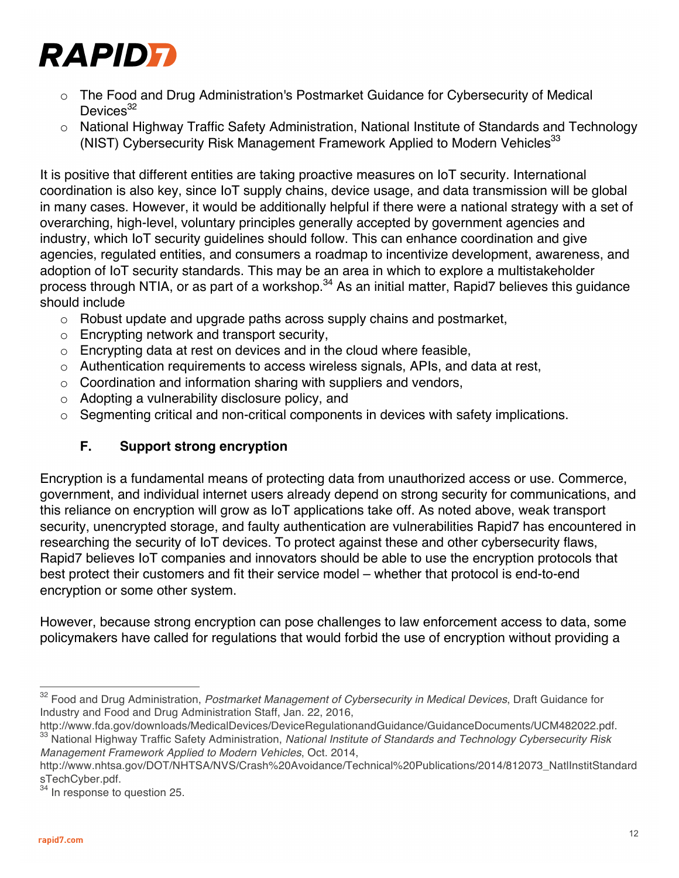

- o The Food and Drug Administration's Postmarket Guidance for Cybersecurity of Medical Devices<sup>32</sup>
- o National Highway Traffic Safety Administration, National Institute of Standards and Technology (NIST) Cybersecurity Risk Management Framework Applied to Modern Vehicles<sup>33</sup>

It is positive that different entities are taking proactive measures on IoT security. International coordination is also key, since IoT supply chains, device usage, and data transmission will be global in many cases. However, it would be additionally helpful if there were a national strategy with a set of overarching, high-level, voluntary principles generally accepted by government agencies and industry, which IoT security guidelines should follow. This can enhance coordination and give agencies, regulated entities, and consumers a roadmap to incentivize development, awareness, and adoption of IoT security standards. This may be an area in which to explore a multistakeholder process through NTIA, or as part of a workshop.<sup>34</sup> As an initial matter, Rapid7 believes this guidance should include

- $\circ$  Robust update and upgrade paths across supply chains and postmarket,
- o Encrypting network and transport security,
- $\circ$  Encrypting data at rest on devices and in the cloud where feasible,
- $\circ$  Authentication requirements to access wireless signals, APIs, and data at rest,
- $\circ$  Coordination and information sharing with suppliers and vendors,
- o Adopting a vulnerability disclosure policy, and
- $\circ$  Segmenting critical and non-critical components in devices with safety implications.

## **F. Support strong encryption**

Encryption is a fundamental means of protecting data from unauthorized access or use. Commerce, government, and individual internet users already depend on strong security for communications, and this reliance on encryption will grow as IoT applications take off. As noted above, weak transport security, unencrypted storage, and faulty authentication are vulnerabilities Rapid7 has encountered in researching the security of IoT devices. To protect against these and other cybersecurity flaws, Rapid7 believes IoT companies and innovators should be able to use the encryption protocols that best protect their customers and fit their service model – whether that protocol is end-to-end encryption or some other system.

However, because strong encryption can pose challenges to law enforcement access to data, some policymakers have called for regulations that would forbid the use of encryption without providing a

<sup>32</sup> Food and Drug Administration, *Postmarket Management of Cybersecurity in Medical Devices*, Draft Guidance for Industry and Food and Drug Administration Staff, Jan. 22, 2016,

http://www.fda.gov/downloads/MedicalDevices/DeviceRegulationandGuidance/GuidanceDocuments/UCM482022.pdf. <sup>33</sup> National Highway Traffic Safety Administration, *National Institute of Standards and Technology Cybersecurity Risk Management Framework Applied to Modern Vehicles*, Oct. 2014,

http://www.nhtsa.gov/DOT/NHTSA/NVS/Crash%20Avoidance/Technical%20Publications/2014/812073\_NatlInstitStandard sTechCyber.pdf.

In response to question 25.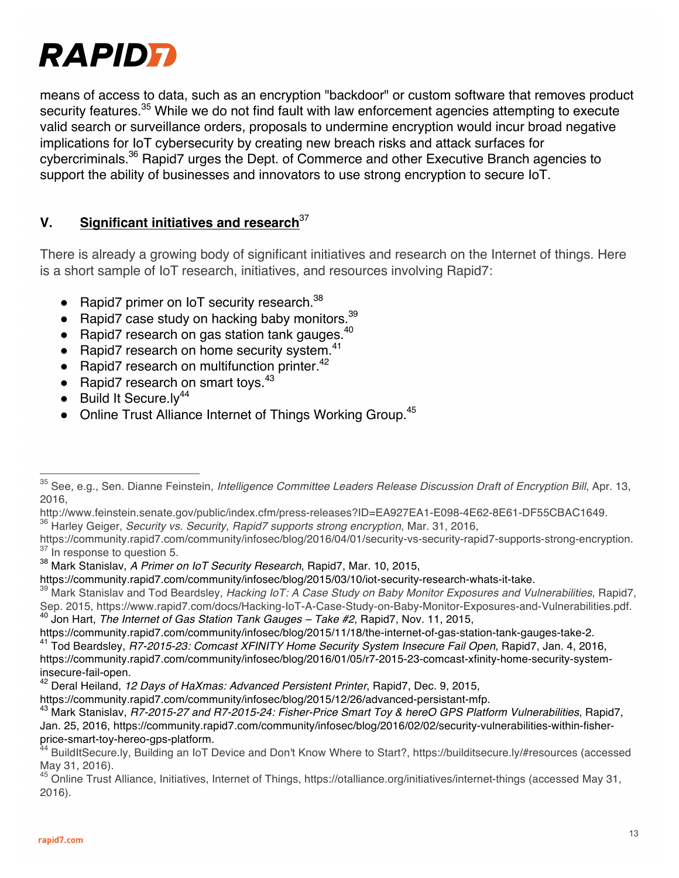

means of access to data, such as an encryption "backdoor" or custom software that removes product security features.<sup>35</sup> While we do not find fault with law enforcement agencies attempting to execute valid search or surveillance orders, proposals to undermine encryption would incur broad negative implications for IoT cybersecurity by creating new breach risks and attack surfaces for cybercriminals.36 Rapid7 urges the Dept. of Commerce and other Executive Branch agencies to support the ability of businesses and innovators to use strong encryption to secure IoT.

## **V. Significant initiatives and research**<sup>37</sup>

There is already a growing body of significant initiatives and research on the Internet of things. Here is a short sample of IoT research, initiatives, and resources involving Rapid7:

- Rapid7 primer on IoT security research. $38$
- $\bullet$  Rapid7 case study on hacking baby monitors.<sup>39</sup>
- $\bullet$  Rapid7 research on gas station tank gauges.  $^{40}$
- Rapid7 research on home security system. $41$
- $\bullet$  Rapid7 research on multifunction printer.<sup>42</sup>
- Rapid7 research on smart toys. $43$
- $\bullet$  Build It Secure.ly<sup>44</sup>
- Online Trust Alliance Internet of Things Working Group.<sup>45</sup>

<sup>36</sup> Harley Geiger, *Security vs. Security, Rapid7 supports strong encryption*, Mar. 31, 2016,

<sup>35</sup> See, e.g., Sen. Dianne Feinstein, *Intelligence Committee Leaders Release Discussion Draft of Encryption Bill*, Apr. 13, 2016,

http://www.feinstein.senate.gov/public/index.cfm/press-releases?ID=EA927EA1-E098-4E62-8E61-DF55CBAC1649.

https://community.rapid7.com/community/infosec/blog/2016/04/01/security-vs-security-rapid7-supports-strong-encryption.  $37$  In response to question 5.

<sup>38</sup> Mark Stanislav, *A Primer on IoT Security Research*, Rapid7, Mar. 10, 2015,

https://community.rapid7.com/community/infosec/blog/2015/03/10/iot-security-research-whats-it-take.

<sup>39</sup> Mark Stanislav and Tod Beardsley, *Hacking IoT: A Case Study on Baby Monitor Exposures and Vulnerabilities*, Rapid7, Sep. 2015, https://www.rapid7.com/docs/Hacking-IoT-A-Case-Study-on-Baby-Monitor-Exposures-and-Vulnerabilities.pdf. <sup>40</sup> Jon Hart, *The Internet of Gas Station Tank Gauges – Take #2*, Rapid7, Nov. 11, 2015,

https://community.rapid7.com/community/infosec/blog/2015/11/18/the-internet-of-gas-station-tank-gauges-take-2.<br><sup>41</sup> Tod Beardsley, R7-2015-23: Comcast XFINITY Home Security System Insecure Fail Open, Rapid7, Jan. 4, 2016, https://community.rapid7.com/community/infosec/blog/2016/01/05/r7-2015-23-comcast-xfinity-home-security-systeminsecure-fail-open.

<sup>42</sup> Deral Heiland, *12 Days of HaXmas: Advanced Persistent Printer*, Rapid7, Dec. 9, 2015,

https://community.rapid7.com/community/infosec/blog/2015/12/26/advanced-persistant-mfp.

<sup>43</sup> Mark Stanislav, *R7-2015-27 and R7-2015-24: Fisher-Price Smart Toy & hereO GPS Platform Vulnerabilities*, Rapid7, Jan. 25, 2016, https://community.rapid7.com/community/infosec/blog/2016/02/02/security-vulnerabilities-within-fisherprice-smart-toy-hereo-gps-platform.<br><sup>44</sup> BuildItSecure.ly, Building an IoT Device and Don't Know Where to Start?, https://builditsecure.ly/#resources (accessed

May 31, 2016).

<sup>45</sup> Online Trust Alliance, Initiatives, Internet of Things, https://otalliance.org/initiatives/internet-things (accessed May 31, 2016).